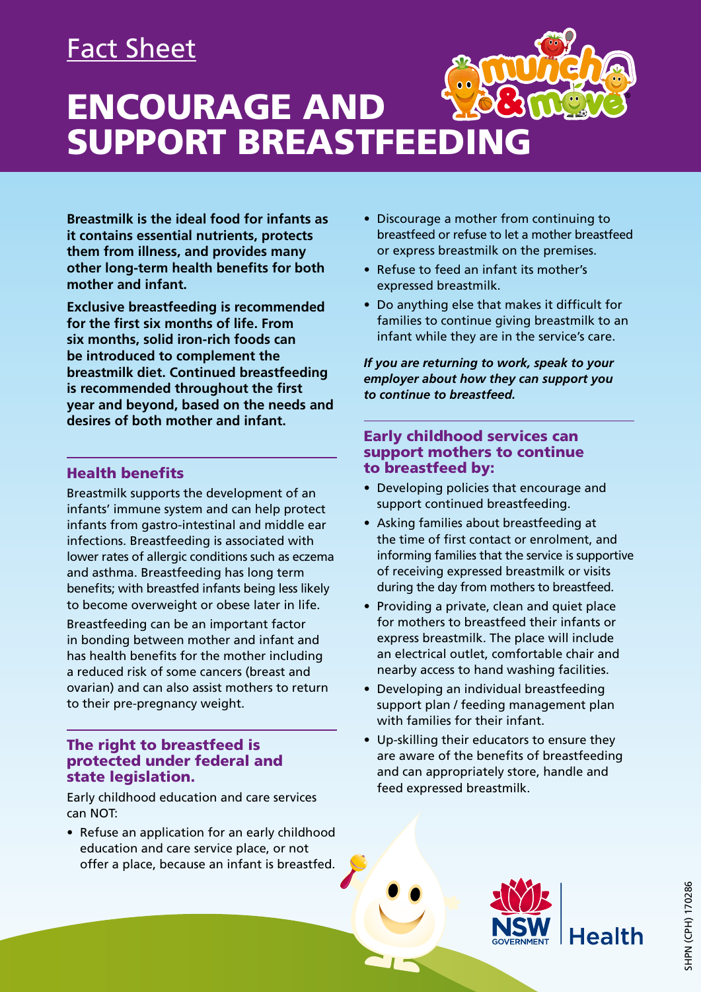## Fact Sheet

# ENCOURAGE AND SUPPORT BREASTFEEDING

**Breastmilk is the ideal food for infants as it contains essential nutrients, protects them from illness, and provides many other long-term health benefits for both mother and infant.** 

**Exclusive breastfeeding is recommended for the first six months of life. From six months, solid iron-rich foods can be introduced to complement the breastmilk diet. Continued breastfeeding is recommended throughout the first year and beyond, based on the needs and desires of both mother and infant.**

### Health benefits

Breastmilk supports the development of an infants' immune system and can help protect infants from gastro-intestinal and middle ear infections. Breastfeeding is associated with lower rates of allergic conditions such as eczema and asthma. Breastfeeding has long term benefits; with breastfed infants being less likely to become overweight or obese later in life. Breastfeeding can be an important factor in bonding between mother and infant and has health benefits for the mother including a reduced risk of some cancers (breast and ovarian) and can also assist mothers to return to their pre-pregnancy weight.

### The right to breastfeed is protected under federal and state legislation.

Early childhood education and care services can NOT:

• Refuse an application for an early childhood education and care service place, or not offer a place, because an infant is breastfed.

- Discourage a mother from continuing to breastfeed or refuse to let a mother breastfeed or express breastmilk on the premises.
- Refuse to feed an infant its mother's expressed breastmilk.
- Do anything else that makes it difficult for families to continue giving breastmilk to an infant while they are in the service's care.

*If you are returning to work, speak to your employer about how they can support you to continue to breastfeed.* 

### Early childhood services can support mothers to continue to breastfeed by:

- Developing policies that encourage and support continued breastfeeding.
- Asking families about breastfeeding at the time of first contact or enrolment, and informing families that the service is supportive of receiving expressed breastmilk or visits during the day from mothers to breastfeed.
- Providing a private, clean and quiet place for mothers to breastfeed their infants or express breastmilk. The place will include an electrical outlet, comfortable chair and nearby access to hand washing facilities.
- Developing an individual breastfeeding support plan / feeding management plan with families for their infant.
- Up-skilling their educators to ensure they are aware of the benefits of breastfeeding and can appropriately store, handle and feed expressed breastmilk.